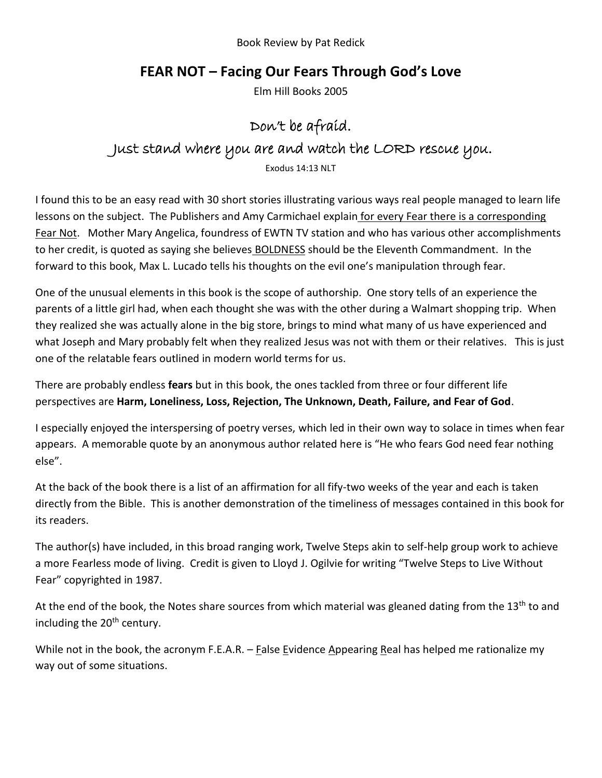Book Review by Pat Redick

## **FEAR NOT – Facing Our Fears Through God's Love**

Elm Hill Books 2005

## Don't be afraid. Just stand where you are and watch the LORD rescue you.

Exodus 14:13 NLT

I found this to be an easy read with 30 short stories illustrating various ways real people managed to learn life lessons on the subject. The Publishers and Amy Carmichael explain for every Fear there is a corresponding Fear Not. Mother Mary Angelica, foundress of EWTN TV station and who has various other accomplishments to her credit, is quoted as saying she believes BOLDNESS should be the Eleventh Commandment. In the forward to this book, Max L. Lucado tells his thoughts on the evil one's manipulation through fear.

One of the unusual elements in this book is the scope of authorship. One story tells of an experience the parents of a little girl had, when each thought she was with the other during a Walmart shopping trip. When they realized she was actually alone in the big store, brings to mind what many of us have experienced and what Joseph and Mary probably felt when they realized Jesus was not with them or their relatives. This is just one of the relatable fears outlined in modern world terms for us.

There are probably endless **fears** but in this book, the ones tackled from three or four different life perspectives are **Harm, Loneliness, Loss, Rejection, The Unknown, Death, Failure, and Fear of God**.

I especially enjoyed the interspersing of poetry verses, which led in their own way to solace in times when fear appears. A memorable quote by an anonymous author related here is "He who fears God need fear nothing else".

At the back of the book there is a list of an affirmation for all fify-two weeks of the year and each is taken directly from the Bible. This is another demonstration of the timeliness of messages contained in this book for its readers.

The author(s) have included, in this broad ranging work, Twelve Steps akin to self-help group work to achieve a more Fearless mode of living. Credit is given to Lloyd J. Ogilvie for writing "Twelve Steps to Live Without Fear" copyrighted in 1987.

At the end of the book, the Notes share sources from which material was gleaned dating from the 13<sup>th</sup> to and including the 20<sup>th</sup> century.

While not in the book, the acronym F.E.A.R. – False Evidence Appearing Real has helped me rationalize my way out of some situations.